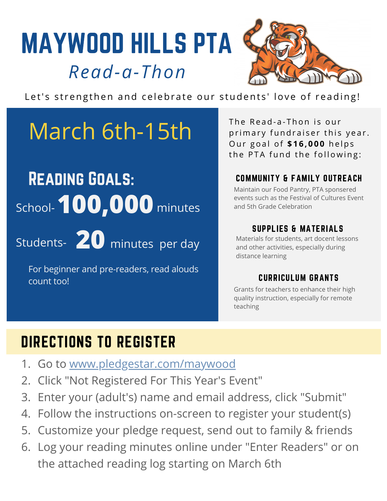# MAYWOOD HILLS PTA *Read-a-Thon*



Let's strengthen and celebrate our students' love of reading!

# March 6th-15th

# Reading Goals: School- **100,000** minutes

Students- 20 minutes per day

For beginner and pre-readers, read alouds count too!

The Read-a-Thon is our primary fundraiser this year. Ou r g o a l o f **\$ 1 6 , 0 0 0** h e l p s the PTA fund the following:

#### COMMUNITY & FAMILY OUTREACH

Maintain our Food Pantry, PTA sponsered events such as the Festival of Cultures Event and 5th Grade Celebration

#### SUPPLIES & MATERIALS

Materials for students, art docent lessons and other activities, especially during distance learning

#### CURRICULUM GRANTS

Grants for teachers to enhance their high quality instruction, especially for remote teaching

## DIRECTIONS TO REGISTER

- 1. Go to [www.pledgestar.com/maywood](http://www.pledgestar.com/maywood)
- 2. Click "Not Registered For This Year's Event"
- Enter your (adult's) name and email address, click "Submit" 3.
- Follow the instructions on-screen to register your student(s) 4.
- Customize your pledge request, send out to family & friends 5.
- Log your reading minutes online under "Enter Readers" or on 6. the attached reading log starting on March 6th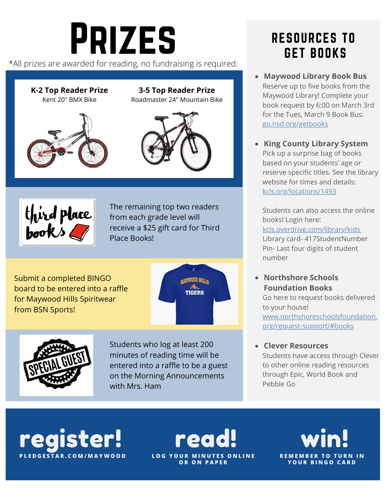# Prizes

\*All prizes are awarded for reading, no fundraising is required.

**K-2 Top Reader Prize** Kent 20" BMX Bike



#### **3-5 Top Reader Prize** Roadmaster 24" Mountain Bike





The remaining top two readers from each grade level will receive a \$25 gift card for Third Place Books!

Submit a completed BINGO board to be entered into a raffle for Maywood Hills Spiritwear from BSN Sports!





Students who log at least 200 minutes of reading time will be entered into a raffle to be a guest on the Morning Announcements with Mrs. Ham

#### RESOURCES TO GET BOOKS

- **Maywood Library Book Bus** Reserve up to five books from the Maywood Library! Complete your book request by 6:00 on March 3rd for the Tues, March 9 Book Bus: [go.nsd.org/getbooks](http://go.nsd.org/getbooks)
- **King County Library System** Pick up a surprise bag of books based on your students' age or reserve specific titles. See the library website for times and details: [kcls.org/locations/1493](http://kcls.org/locations/1493)

Students can also access the online books! Login here: [kcls.overdrive.com/library/kids](http://kcls.overdrive.com/library/kids) Library card- 417StudentNumber Pin- Last four digits of student number

#### **Northshore Schools Foundation Books**

Go here to request books delivered to your house! [www.northshoreschoolsfoundation.](http://www.northshoreschoolsfoundation.org/request-support/#books) org/request-support/#books

**Clever Resources**

Students have access through Clever to other online reading resources through Epic, World Book and Pebble Go

register! **P L E D G E S T A R . C O M / M A Y W O O D**

read!  $L$  **O G**  $Y$  **O U R O R O N P A P E R**

win! **R E M E M B E R T O T U R N I N Y O U R B I N G O C A R D**